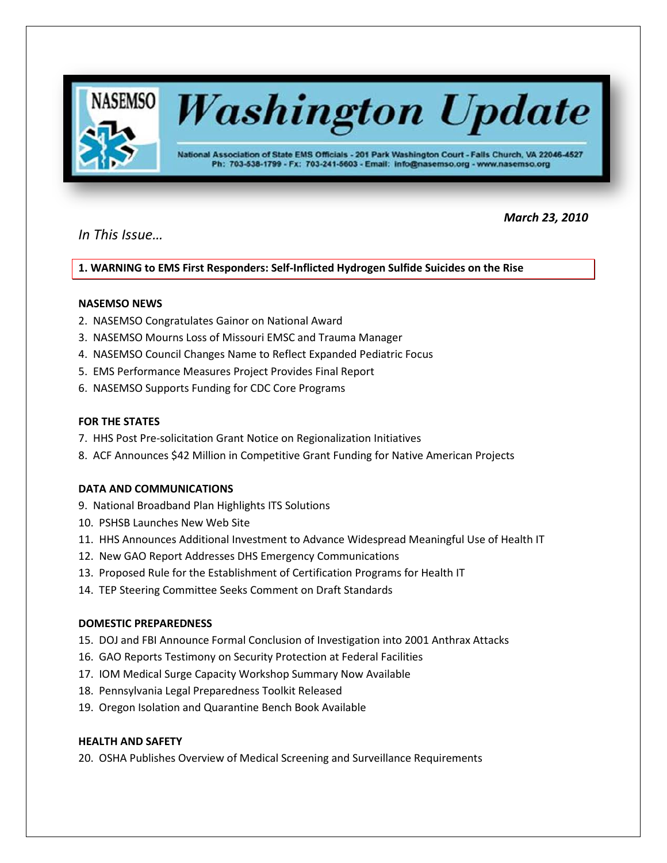

# *In This Issue…*

 *March 23, 2010*

**1. WARNING to EMS First Responders: Self-Inflicted Hydrogen Sulfide Suicides on the Rise** 

## **NASEMSO NEWS**

- 2. NASEMSO Congratulates Gainor on National Award
- 3. NASEMSO Mourns Loss of Missouri EMSC and Trauma Manager
- 4. NASEMSO Council Changes Name to Reflect Expanded Pediatric Focus
- 5. EMS Performance Measures Project Provides Final Report
- 6. NASEMSO Supports Funding for CDC Core Programs

## **FOR THE STATES**

- 7. HHS Post Pre-solicitation Grant Notice on Regionalization Initiatives
- 8. ACF Announces \$42 Million in Competitive Grant Funding for Native American Projects

## **DATA AND COMMUNICATIONS**

- 9. National Broadband Plan Highlights ITS Solutions
- 10. PSHSB Launches New Web Site
- 11. HHS Announces Additional Investment to Advance Widespread Meaningful Use of Health IT
- 12. New GAO Report Addresses DHS Emergency Communications
- 13. Proposed Rule for the Establishment of Certification Programs for Health IT
- 14. TEP Steering Committee Seeks Comment on Draft Standards

## **DOMESTIC PREPAREDNESS**

- 15. DOJ and FBI Announce Formal Conclusion of Investigation into 2001 Anthrax Attacks
- 16. GAO Reports Testimony on Security Protection at Federal Facilities
- 17. IOM Medical Surge Capacity Workshop Summary Now Available
- 18. Pennsylvania Legal Preparedness Toolkit Released
- 19. Oregon Isolation and Quarantine Bench Book Available

## **HEALTH AND SAFETY**

20. OSHA Publishes Overview of Medical Screening and Surveillance Requirements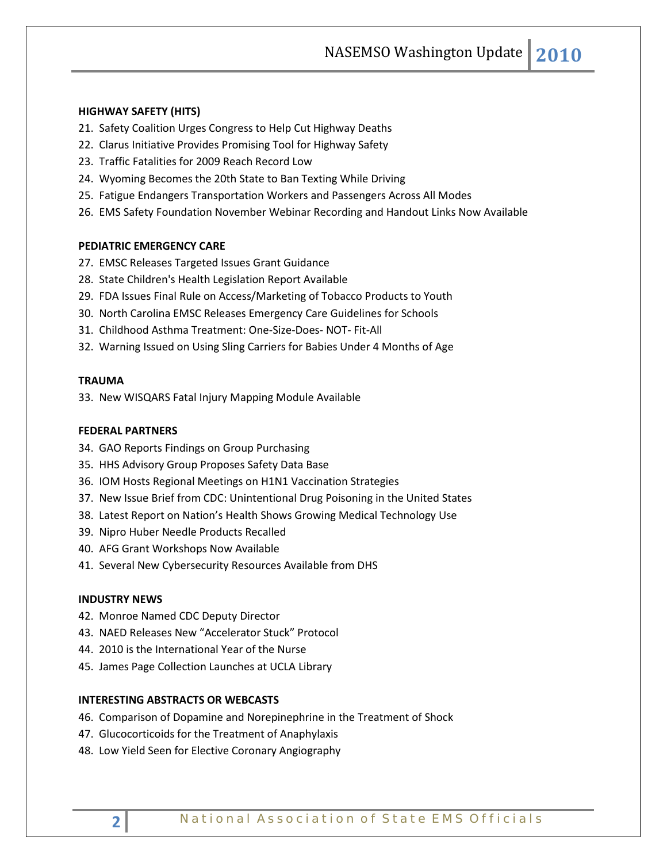NASEMSO Washington Update **2010**

### **HIGHWAY SAFETY (HITS)**

- 21. Safety Coalition Urges Congress to Help Cut Highway Deaths
- 22. Clarus Initiative Provides Promising Tool for Highway Safety
- 23. Traffic Fatalities for 2009 Reach Record Low
- 24. Wyoming Becomes the 20th State to Ban Texting While Driving
- 25. Fatigue Endangers Transportation Workers and Passengers Across All Modes
- 26. EMS Safety Foundation November Webinar Recording and Handout Links Now Available

## **PEDIATRIC EMERGENCY CARE**

- 27. EMSC Releases Targeted Issues Grant Guidance
- 28. State Children's Health Legislation Report Available
- 29. FDA Issues Final Rule on Access/Marketing of Tobacco Products to Youth
- 30. North Carolina EMSC Releases Emergency Care Guidelines for Schools
- 31. Childhood Asthma Treatment: One-Size-Does- NOT- Fit-All
- 32. Warning Issued on Using Sling Carriers for Babies Under 4 Months of Age

## **TRAUMA**

33. New WISQARS Fatal Injury Mapping Module Available

### **FEDERAL PARTNERS**

- 34. GAO Reports Findings on Group Purchasing
- 35. HHS Advisory Group Proposes Safety Data Base
- 36. IOM Hosts Regional Meetings on H1N1 Vaccination Strategies
- 37. New Issue Brief from CDC: Unintentional Drug Poisoning in the United States
- 38. Latest Report on Nation's Health Shows Growing Medical Technology Use
- 39. Nipro Huber Needle Products Recalled
- 40. AFG Grant Workshops Now Available
- 41. Several New Cybersecurity Resources Available from DHS

#### **INDUSTRY NEWS**

- 42. Monroe Named CDC Deputy Director
- 43. NAED Releases New "Accelerator Stuck" Protocol
- 44. 2010 is the International Year of the Nurse
- 45. James Page Collection Launches at UCLA Library

### **INTERESTING ABSTRACTS OR WEBCASTS**

- 46. Comparison of Dopamine and Norepinephrine in the Treatment of Shock
- 47. Glucocorticoids for the Treatment of Anaphylaxis
- 48. Low Yield Seen for Elective Coronary Angiography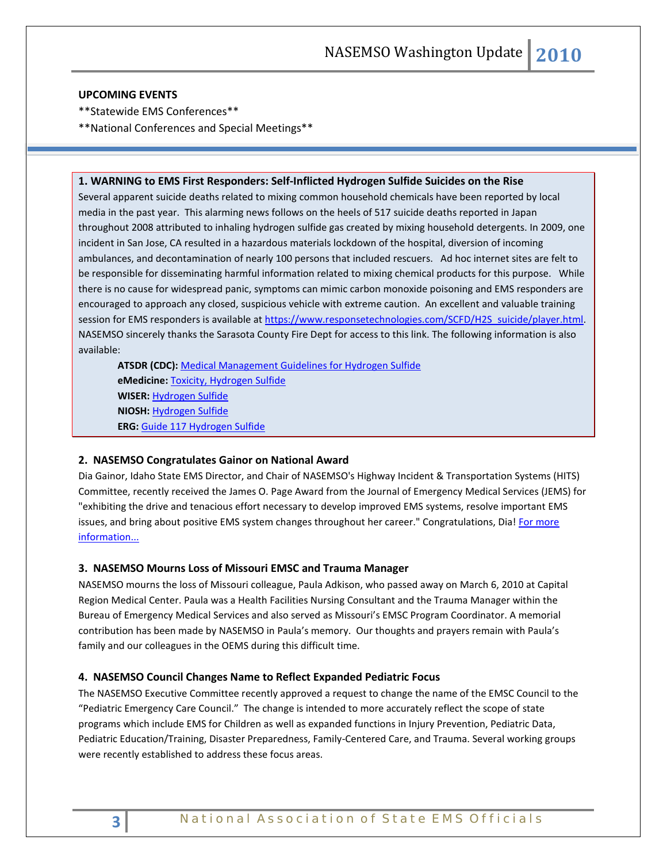#### **UPCOMING EVENTS**

- \*\*Statewide EMS Conferences\*\*
- \*\*National Conferences and Special Meetings\*\*

#### **1. WARNING to EMS First Responders: Self-Inflicted Hydrogen Sulfide Suicides on the Rise**

Several apparent suicide deaths related to mixing common household chemicals have been reported by local media in the past year. This alarming news follows on the heels of 517 suicide deaths reported in Japan throughout 2008 attributed to inhaling hydrogen sulfide gas created by mixing household detergents. In 2009, one incident in San Jose, CA resulted in a hazardous materials lockdown of the hospital, diversion of incoming ambulances, and decontamination of nearly 100 persons that included rescuers. Ad hoc internet sites are felt to be responsible for disseminating harmful information related to mixing chemical products for this purpose. While there is no cause for widespread panic, symptoms can mimic carbon monoxide poisoning and EMS responders are encouraged to approach any closed, suspicious vehicle with extreme caution. An excellent and valuable training session for EMS responders is available at [https://www.responsetechnologies.com/SCFD/H2S\\_suicide/player.html.](https://www.responsetechnologies.com/SCFD/H2S_suicide/player.html) NASEMSO sincerely thanks the Sarasota County Fire Dept for access to this link. The following information is also available:

**ATSDR (CDC):** [Medical Management Guidelines for Hydrogen Sulfide](http://www.atsdr.cdc.gov/Mhmi/mmg114.html) **eMedicine:** [Toxicity, Hydrogen Sulfide](http://emedicine.medscape.com/article/815139-overview) **WISER:** [Hydrogen Sulfide](http://webwiser.nlm.nih.gov/getSubstanceData.do?substanceID=339&displaySubstanceName=Hydrogen+Sulfide) **NIOSH:** [Hydrogen Sulfide](http://www.cdc.gov/niosh/npg/npgd0337.html) **ERG:** [Guide 117 Hydrogen Sulfide](http://wwwapps.tc.gc.ca/saf-sec-sur/3/erg-gmu/erg/guidepage.aspx?guide=117)

### **2. NASEMSO Congratulates Gainor on National Award**

Dia Gainor, Idaho State EMS Director, and Chair of NASEMSO's Highway Incident & Transportation Systems (HITS) Committee, recently received the James O. Page Award from the Journal of Emergency Medical Services (JEMS) for "exhibiting the drive and tenacious effort necessary to develop improved EMS systems, resolve important EMS issues, and bring about positive EMS system changes throughout her career." Congratulations, Dia! For more [information...](http://www.jems.com/news_and_articles/announcements/10/elsevier_announces_2010_recipient_of_james_o_page_jems_award.html?utm_source=Go+Forward+Media+eMail,+Powered+by+Bronto&utm_medium=email&utm_term=this+year’s+recipient+of+the+James+O.+Page+award&utm_content=jdetienne@mt.gov&utm_campaign=Jems+eNews+03-18-10)

#### **3. NASEMSO Mourns Loss of Missouri EMSC and Trauma Manager**

NASEMSO mourns the loss of Missouri colleague, Paula Adkison, who passed away on March 6, 2010 at Capital Region Medical Center. Paula was a Health Facilities Nursing Consultant and the Trauma Manager within the Bureau of Emergency Medical Services and also served as Missouri's EMSC Program Coordinator. A memorial contribution has been made by NASEMSO in Paula's memory. Our thoughts and prayers remain with Paula's family and our colleagues in the OEMS during this difficult time.

## **4. NASEMSO Council Changes Name to Reflect Expanded Pediatric Focus**

The NASEMSO Executive Committee recently approved a request to change the name of the EMSC Council to the "Pediatric Emergency Care Council." The change is intended to more accurately reflect the scope of state programs which include EMS for Children as well as expanded functions in Injury Prevention, Pediatric Data, Pediatric Education/Training, Disaster Preparedness, Family-Centered Care, and Trauma. Several working groups were recently established to address these focus areas.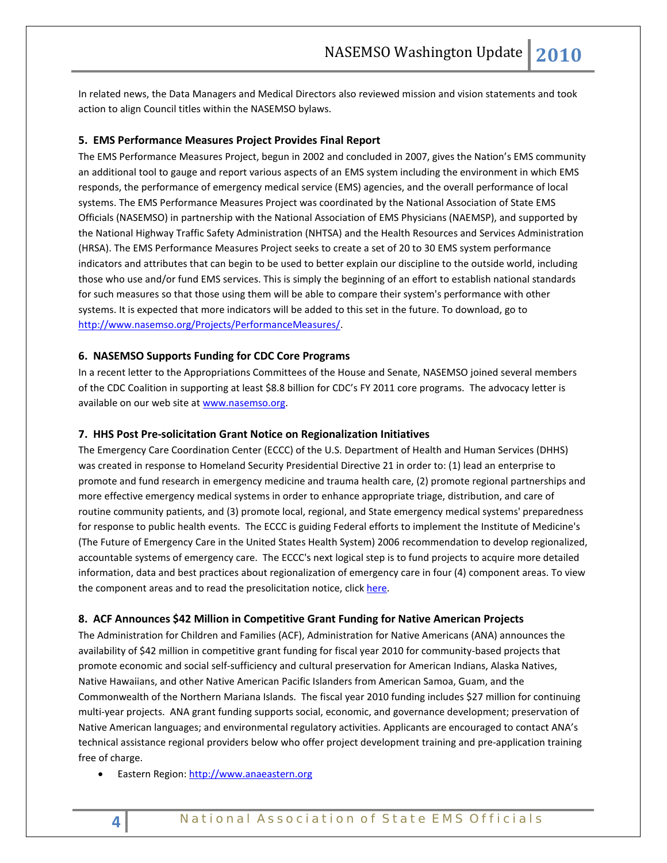In related news, the Data Managers and Medical Directors also reviewed mission and vision statements and took action to align Council titles within the NASEMSO bylaws.

#### **5. EMS Performance Measures Project Provides Final Report**

The EMS Performance Measures Project, begun in 2002 and concluded in 2007, gives the Nation's EMS community an additional tool to gauge and report various aspects of an EMS system including the environment in which EMS responds, the performance of emergency medical service (EMS) agencies, and the overall performance of local systems. The EMS Performance Measures Project was coordinated by the National Association of State EMS Officials (NASEMSO) in partnership with the National Association of EMS Physicians (NAEMSP), and supported by the National Highway Traffic Safety Administration (NHTSA) and the Health Resources and Services Administration (HRSA). The EMS Performance Measures Project seeks to create a set of 20 to 30 EMS system performance indicators and attributes that can begin to be used to better explain our discipline to the outside world, including those who use and/or fund EMS services. This is simply the beginning of an effort to establish national standards for such measures so that those using them will be able to compare their system's performance with other systems. It is expected that more indicators will be added to this set in the future. To download, go to [http://www.nasemso.org/Projects/PerformanceMeasures/.](http://www.nasemso.org/Projects/PerformanceMeasures/)

#### **6. NASEMSO Supports Funding for CDC Core Programs**

In a recent letter to the Appropriations Committees of the House and Senate, NASEMSO joined several members of the CDC Coalition in supporting at least \$8.8 billion for CDC's FY 2011 core programs. The advocacy letter is available on our web site at [www.nasemso.org.](http://www.nasemso.org/)

#### **7. HHS Post Pre-solicitation Grant Notice on Regionalization Initiatives**

The Emergency Care Coordination Center (ECCC) of the U.S. Department of Health and Human Services (DHHS) was created in response to Homeland Security Presidential Directive 21 in order to: (1) lead an enterprise to promote and fund research in emergency medicine and trauma health care, (2) promote regional partnerships and more effective emergency medical systems in order to enhance appropriate triage, distribution, and care of routine community patients, and (3) promote local, regional, and State emergency medical systems' preparedness for response to public health events. The ECCC is guiding Federal efforts to implement the Institute of Medicine's (The Future of Emergency Care in the United States Health System) 2006 recommendation to develop regionalized, accountable systems of emergency care. The ECCC's next logical step is to fund projects to acquire more detailed information, data and best practices about regionalization of emergency care in four (4) component areas. To view the component areas and to read the presolicitation notice, click [here.](https://www.fbo.gov/index?s=opportunity&mode=form&id=751393dfc81926f7b0af919ee645046b&tab=core&_cview=0)

#### **8. ACF Announces \$42 Million in Competitive Grant Funding for Native American Projects**

The Administration for Children and Families (ACF), Administration for Native Americans (ANA) announces the availability of \$42 million in competitive grant funding for fiscal year 2010 for community-based projects that promote economic and social self-sufficiency and cultural preservation for American Indians, Alaska Natives, Native Hawaiians, and other Native American Pacific Islanders from American Samoa, Guam, and the Commonwealth of the Northern Mariana Islands. The fiscal year 2010 funding includes \$27 million for continuing multi-year projects. ANA grant funding supports social, economic, and governance development; preservation of Native American languages; and environmental regulatory activities. Applicants are encouraged to contact ANA's technical assistance regional providers below who offer project development training and pre-application training free of charge.

• Eastern Region: [http://www.anaeastern.org](http://www.anaeastern.org/)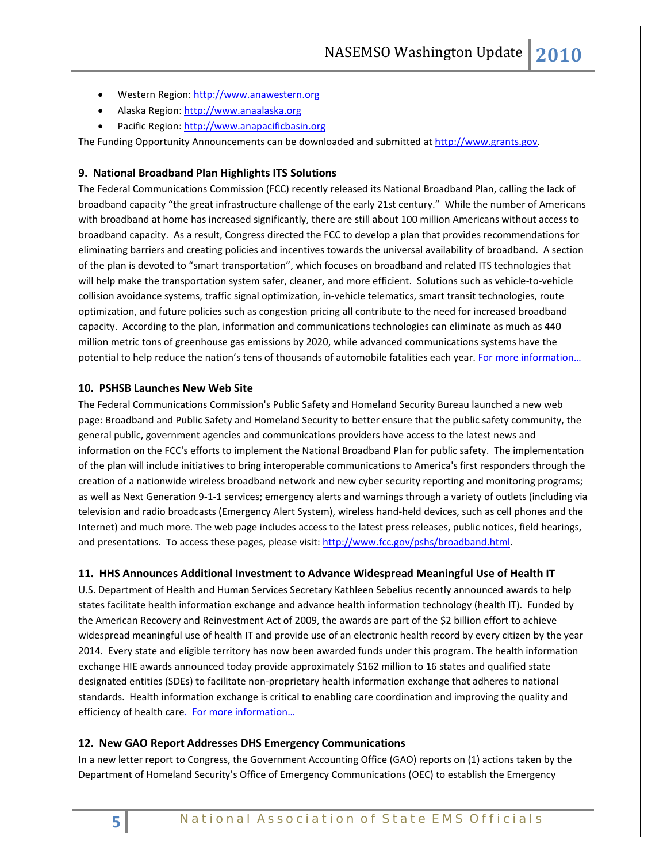- Western Region: [http://www.anawestern.org](http://www.anawestern.org/)
- Alaska Region: [http://www.anaalaska.org](http://www.anaalaska.org/)
- Pacific Region: [http://www.anapacificbasin.org](http://www.anapacificbasin.org/)

The Funding Opportunity Announcements can be downloaded and submitted a[t http://www.grants.gov.](http://www.grants.gov/)

## **9. National Broadband Plan Highlights ITS Solutions**

The Federal Communications Commission (FCC) recently released its National Broadband Plan, calling the lack of broadband capacity "the great infrastructure challenge of the early 21st century." While the number of Americans with broadband at home has increased significantly, there are still about 100 million Americans without access to broadband capacity. As a result, Congress directed the FCC to develop a plan that provides recommendations for eliminating barriers and creating policies and incentives towards the universal availability of broadband. A section of the plan is devoted to "smart transportation", which focuses on broadband and related ITS technologies that will help make the transportation system safer, cleaner, and more efficient. Solutions such as vehicle-to-vehicle collision avoidance systems, traffic signal optimization, in-vehicle telematics, smart transit technologies, route optimization, and future policies such as congestion pricing all contribute to the need for increased broadband capacity. According to the plan, information and communications technologies can eliminate as much as 440 million metric tons of greenhouse gas emissions by 2020, while advanced communications systems have the potential to help reduce the nation's tens of thousands of automobile fatalities each year. [For more information…](http://download.broadband.gov/plan/national-broadband-plan.pdf)

#### **10. PSHSB Launches New Web Site**

The Federal Communications Commission's Public Safety and Homeland Security Bureau launched a new web page: Broadband and Public Safety and Homeland Security to better ensure that the public safety community, the general public, government agencies and communications providers have access to the latest news and information on the FCC's efforts to implement the National Broadband Plan for public safety. The implementation of the plan will include initiatives to bring interoperable communications to America's first responders through the creation of a nationwide wireless broadband network and new cyber security reporting and monitoring programs; as well as Next Generation 9-1-1 services; emergency alerts and warnings through a variety of outlets (including via television and radio broadcasts (Emergency Alert System), wireless hand-held devices, such as cell phones and the Internet) and much more. The web page includes access to the latest press releases, public notices, field hearings, and presentations. To access these pages, please visit[: http://www.fcc.gov/pshs/broadband.html.](http://www.fcc.gov/pshs/broadband.html)

#### **11. HHS Announces Additional Investment to Advance Widespread Meaningful Use of Health IT**

U.S. Department of Health and Human Services Secretary Kathleen Sebelius recently announced awards to help states facilitate health information exchange and advance health information technology (health IT). Funded by the American Recovery and Reinvestment Act of 2009, the awards are part of the \$2 billion effort to achieve widespread meaningful use of health IT and provide use of an electronic health record by every citizen by the year 2014. Every state and eligible territory has now been awarded funds under this program. The health information exchange HIE awards announced today provide approximately \$162 million to 16 states and qualified state designated entities (SDEs) to facilitate non-proprietary health information exchange that adheres to national standards. Health information exchange is critical to enabling care coordination and improving the quality and efficiency of health care. For more information...

#### **12. New GAO Report Addresses DHS Emergency Communications**

In a new letter report to Congress, the Government Accounting Office (GAO) reports on (1) actions taken by the Department of Homeland Security's Office of Emergency Communications (OEC) to establish the Emergency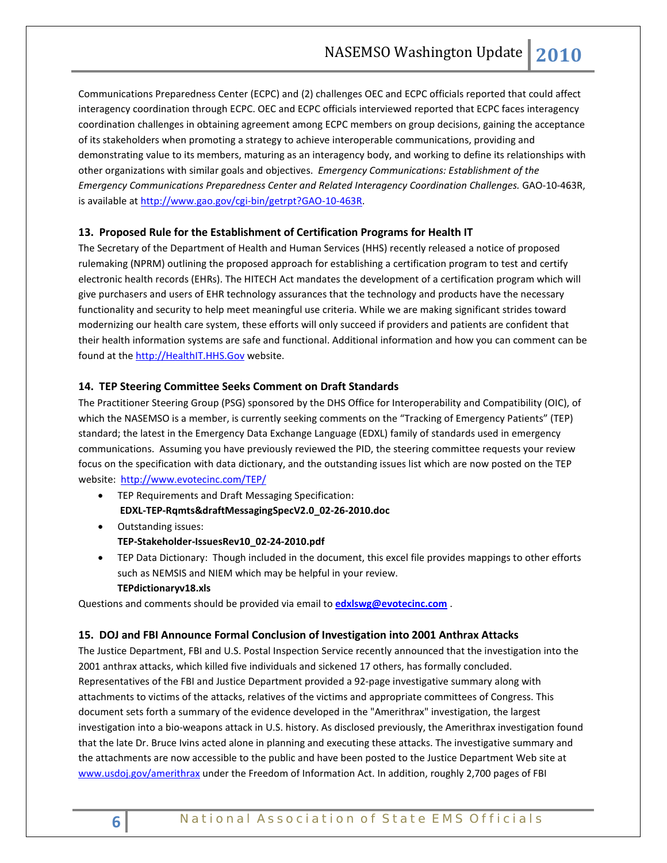Communications Preparedness Center (ECPC) and (2) challenges OEC and ECPC officials reported that could affect interagency coordination through ECPC. OEC and ECPC officials interviewed reported that ECPC faces interagency coordination challenges in obtaining agreement among ECPC members on group decisions, gaining the acceptance of its stakeholders when promoting a strategy to achieve interoperable communications, providing and demonstrating value to its members, maturing as an interagency body, and working to define its relationships with other organizations with similar goals and objectives. *Emergency Communications: Establishment of the Emergency Communications Preparedness Center and Related Interagency Coordination Challenges.* GAO-10-463R, is available at [http://www.gao.gov/cgi-bin/getrpt?GAO-10-463R.](http://www.gao.gov/cgi-bin/getrpt?GAO-10-463R)

## **13. Proposed Rule for the Establishment of Certification Programs for Health IT**

The Secretary of the Department of Health and Human Services (HHS) recently released a notice of proposed rulemaking (NPRM) outlining the proposed approach for establishing a certification program to test and certify electronic health records (EHRs). The HITECH Act mandates the development of a certification program which will give purchasers and users of EHR technology assurances that the technology and products have the necessary functionality and security to help meet meaningful use criteria. While we are making significant strides toward modernizing our health care system, these efforts will only succeed if providers and patients are confident that their health information systems are safe and functional. Additional information and how you can comment can be found at th[e http://HealthIT.HHS.Gov](http://links.govdelivery.com/track?type=click&enid=bWFpbGluZ2lkPTczNDk4OCZtZXNzYWdlaWQ9UFJELUJVTC03MzQ5ODgmZGF0YWJhc2VpZD0xMDAxJnNlcmlhbD0xMjE1NzAxOTg2JmVtYWlsaWQ9a3JvYmluQHB0ZC5uZXQmdXNlcmlkPWtyb2JpbkBwdGQubmV0JmV4dHJhPSYmJg==&&&100&&&http://healthit.hhs.gov/) website.

#### **14. TEP Steering Committee Seeks Comment on Draft Standards**

The Practitioner Steering Group (PSG) sponsored by the DHS Office for Interoperability and Compatibility (OIC), of which the NASEMSO is a member, is currently seeking comments on the "Tracking of Emergency Patients" (TEP) standard; the latest in the Emergency Data Exchange Language (EDXL) family of standards used in emergency communications. Assuming you have previously reviewed the PID, the steering committee requests your review focus on the specification with data dictionary, and the outstanding issues list which are now posted on the TEP website: <http://www.evotecinc.com/TEP/>

- TEP Requirements and Draft Messaging Specification: **EDXL-TEP-Rqmts&draftMessagingSpecV2.0\_02-26-2010.doc**
- Outstanding issues: **TEP-Stakeholder-IssuesRev10\_02-24-2010.pdf**
- TEP Data Dictionary: Though included in the document, this excel file provides mappings to other efforts such as NEMSIS and NIEM which may be helpful in your review. **TEPdictionaryv18.xls**

Questions and comments should be provided via email to **[edxlswg@evotecinc.com](mailto:edxlswg@evotecinc.com)** .

#### **15. DOJ and FBI Announce Formal Conclusion of Investigation into 2001 Anthrax Attacks**

The Justice Department, FBI and U.S. Postal Inspection Service recently announced that the investigation into the 2001 anthrax attacks, which killed five individuals and sickened 17 others, has formally concluded. Representatives of the FBI and Justice Department provided a 92-page investigative summary along with attachments to victims of the attacks, relatives of the victims and appropriate committees of Congress. This document sets forth a summary of the evidence developed in the "Amerithrax" investigation, the largest investigation into a bio-weapons attack in U.S. history. As disclosed previously, the Amerithrax investigation found that the late Dr. Bruce Ivins acted alone in planning and executing these attacks. The investigative summary and the attachments are now accessible to the public and have been posted to the Justice Department Web site at [www.usdoj.gov/amerithrax](http://www.usdoj.gov/amerithrax) under the Freedom of Information Act. In addition, roughly 2,700 pages of FBI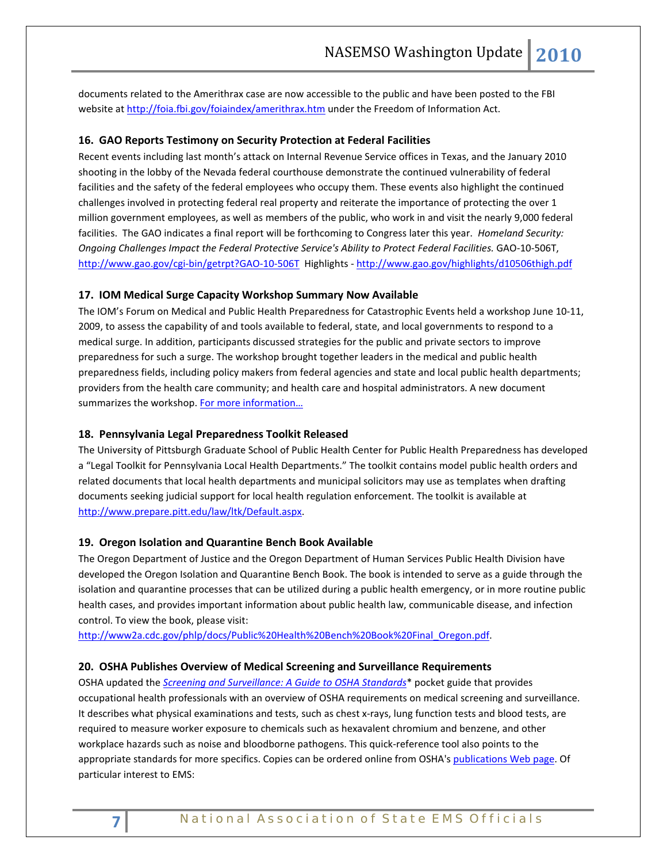documents related to the Amerithrax case are now accessible to the public and have been posted to the FBI website a[t http://foia.fbi.gov/foiaindex/amerithrax.htm](http://foia.fbi.gov/foiaindex/amerithrax.htm) under the Freedom of Information Act.

### **16. GAO Reports Testimony on Security Protection at Federal Facilities**

Recent events including last month's attack on Internal Revenue Service offices in Texas, and the January 2010 shooting in the lobby of the Nevada federal courthouse demonstrate the continued vulnerability of federal facilities and the safety of the federal employees who occupy them. These events also highlight the continued challenges involved in protecting federal real property and reiterate the importance of protecting the over 1 million government employees, as well as members of the public, who work in and visit the nearly 9,000 federal facilities. The GAO indicates a final report will be forthcoming to Congress later this year. *Homeland Security: Ongoing Challenges Impact the Federal Protective Service's Ability to Protect Federal Facilities.* GAO-10-506T, <http://www.gao.gov/cgi-bin/getrpt?GAO-10-506T>Highlights - <http://www.gao.gov/highlights/d10506thigh.pdf>

#### **17. IOM Medical Surge Capacity Workshop Summary Now Available**

The IOM's Forum on Medical and Public Health Preparedness for Catastrophic Events held a workshop June 10-11, 2009, to assess the capability of and tools available to federal, state, and local governments to respond to a medical surge. In addition, participants discussed strategies for the public and private sectors to improve preparedness for such a surge. The workshop brought together leaders in the medical and public health preparedness fields, including policy makers from federal agencies and state and local public health departments; providers from the health care community; and health care and hospital administrators. A new document summarizes the workshop[. For more information…](http://www.iom.edu/Reports/2010/Medical-Surge-Capacity-Workshop-Summary.aspx?utm_medium=etmail&utm_source=Institute%20of%20Medicine&utm_campaign=02.10+IOM+News&utm_content=IOM%20Newsletter&utm_term=Government)

#### **18. Pennsylvania Legal Preparedness Toolkit Released**

The University of Pittsburgh Graduate School of Public Health Center for Public Health Preparedness has developed a "Legal Toolkit for Pennsylvania Local Health Departments." The toolkit contains model public health orders and related documents that local health departments and municipal solicitors may use as templates when drafting documents seeking judicial support for local health regulation enforcement. The toolkit is available at [http://www.prepare.pitt.edu/law/ltk/Default.aspx.](http://www.prepare.pitt.edu/law/ltk/Default.aspx) 

#### **19. Oregon Isolation and Quarantine Bench Book Available**

The Oregon Department of Justice and the Oregon Department of Human Services Public Health Division have developed the Oregon Isolation and Quarantine Bench Book. The book is intended to serve as a guide through the isolation and quarantine processes that can be utilized during a public health emergency, or in more routine public health cases, and provides important information about public health law, communicable disease, and infection control. To view the book, please visit:

[http://www2a.cdc.gov/phlp/docs/Public%20Health%20Bench%20Book%20Final\\_Oregon.pdf.](http://www2a.cdc.gov/phlp/docs/Public%20Health%20Bench%20Book%20Final_Oregon.pdf)

#### **20. OSHA Publishes Overview of Medical Screening and Surveillance Requirements**

OSHA updated the *[Screening and Surveillance: A Guide to OSHA Standards](https://www.osha.gov/Publications/osha3162.pdf)*\* pocket guide that provides occupational health professionals with an overview of OSHA requirements on medical screening and surveillance. It describes what physical examinations and tests, such as chest x-rays, lung function tests and blood tests, are required to measure worker exposure to chemicals such as hexavalent chromium and benzene, and other workplace hazards such as noise and bloodborne pathogens. This quick-reference tool also points to the appropriate standards for more specifics. Copies can be ordered online from OSHA's [publications Web page.](https://www.osha.gov/pls/publications/publication.html) Of particular interest to EMS: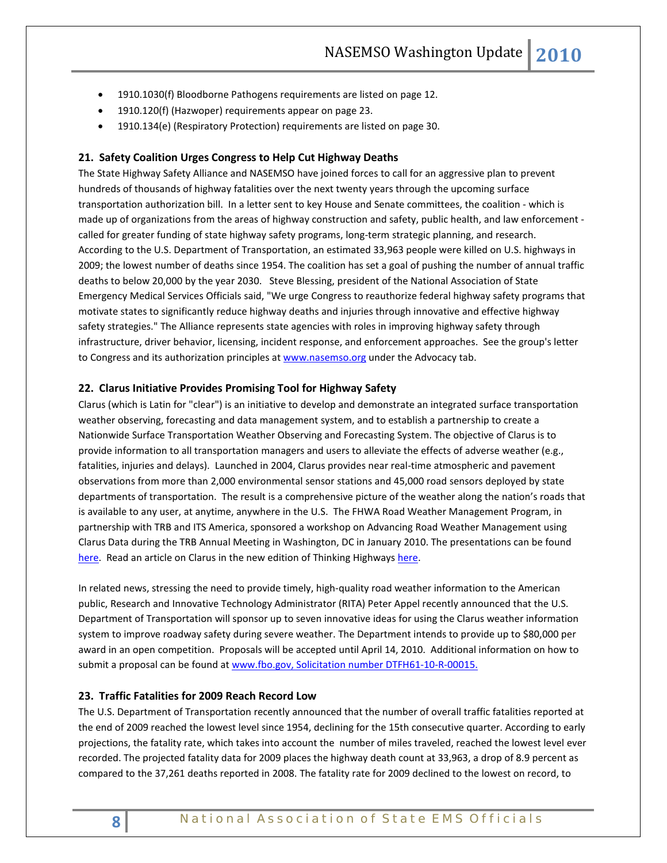- 1910.1030(f) Bloodborne Pathogens requirements are listed on page 12.
- 1910.120(f) (Hazwoper) requirements appear on page 23.
- 1910.134(e) (Respiratory Protection) requirements are listed on page 30.

#### **21. Safety Coalition Urges Congress to Help Cut Highway Deaths**

The State Highway Safety Alliance and NASEMSO have joined forces to call for an aggressive plan to prevent hundreds of thousands of highway fatalities over the next twenty years through the upcoming surface transportation authorization bill. In a letter sent to key House and Senate committees, the coalition - which is made up of organizations from the areas of highway construction and safety, public health, and law enforcement called for greater funding of state highway safety programs, long-term strategic planning, and research. According to the U.S. Department of Transportation, an estimated 33,963 people were killed on U.S. highways in 2009; the lowest number of deaths since 1954. The coalition has set a goal of pushing the number of annual traffic deaths to below 20,000 by the year 2030. Steve Blessing, president of the National Association of State Emergency Medical Services Officials said, "We urge Congress to reauthorize federal highway safety programs that motivate states to significantly reduce highway deaths and injuries through innovative and effective highway safety strategies." The Alliance represents state agencies with roles in improving highway safety through infrastructure, driver behavior, licensing, incident response, and enforcement approaches. See the group's letter to Congress and its authorization principles at [www.nasemso.org](http://www.nasemso.org/) under the Advocacy tab.

#### **22. Clarus Initiative Provides Promising Tool for Highway Safety**

Clarus (which is Latin for "clear") is an initiative to develop and demonstrate an integrated surface transportation weather observing, forecasting and data management system, and to establish a partnership to create a Nationwide Surface Transportation Weather Observing and Forecasting System. The objective of Clarus is to provide information to all transportation managers and users to alleviate the effects of adverse weather (e.g., fatalities, injuries and delays). Launched in 2004, Clarus provides near real-time atmospheric and pavement observations from more than 2,000 environmental sensor stations and 45,000 road sensors deployed by state departments of transportation. The result is a comprehensive picture of the weather along the nation's roads that is available to any user, at anytime, anywhere in the U.S. The FHWA Road Weather Management Program, in partnership with [TRB](http://www.trb.org/Main/Home.aspx) an[d ITS America,](http://www.itsa.org/) sponsored a workshop on Advancing Road Weather Management using Clarus Data during the TRB Annual Meeting in Washington, DC in January 2010. The presentations can be found [here.](http://www.clarusinitiative.org/TRB.html) Read an article on Clarus in the new edition of Thinking Highways [here.](http://content.yudu.com/Library/A1knno/ThinkingHighwaysNort/resources/index.htm?referrerUrl=http%3A%2F%2Fwww.yudu.com%2Fitem%2Fdetails%2F116645%2FThinking-Highways-North-America-December-2009)

In related news, stressing the need to provide timely, high-quality road weather information to the American public, Research and Innovative Technology Administrator (RITA) Peter Appel recently announced that the U.S. Department of Transportation will sponsor up to seven innovative ideas for using the Clarus weather information system to improve roadway safety during severe weather. The Department intends to provide up to \$80,000 per award in an open competition. Proposals will be accepted until April 14, 2010. Additional information on how to submit a proposal can be found at www.fbo.gov, Solicitation number DTFH61-10-R-00015.

## **23. Traffic Fatalities for 2009 Reach Record Low**

The U.S. Department of Transportation recently announced that the number of overall traffic fatalities reported at the end of 2009 reached the lowest level since 1954, declining for the 15th consecutive quarter. According to early projections, the fatality rate, which takes into account the number of miles traveled, reached the lowest level ever recorded. The projected fatality data for 2009 places the highway death count at 33,963, a drop of 8.9 percent as compared to the 37,261 deaths reported in 2008. The fatality rate for 2009 declined to the lowest on record, to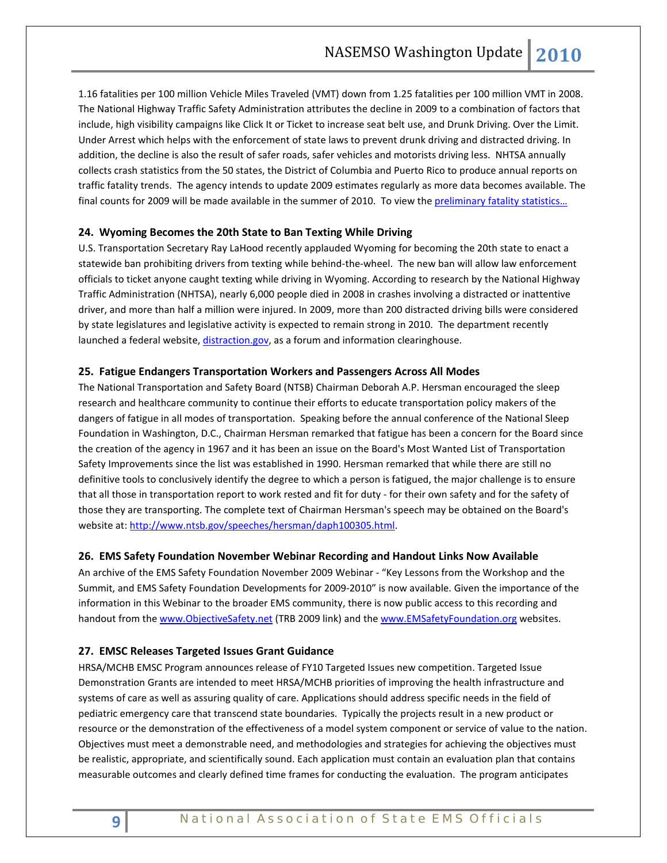1.16 fatalities per 100 million Vehicle Miles Traveled (VMT) down from 1.25 fatalities per 100 million VMT in 2008. The National Highway Traffic Safety Administration attributes the decline in 2009 to a combination of factors that include, high visibility campaigns like Click It or Ticket to increase seat belt use, and Drunk Driving. Over the Limit. Under Arrest which helps with the enforcement of state laws to prevent drunk driving and distracted driving. In addition, the decline is also the result of safer roads, safer vehicles and motorists driving less. NHTSA annually collects crash statistics from the 50 states, the District of Columbia and Puerto Rico to produce annual reports on traffic fatality trends. The agency intends to update 2009 estimates regularly as more data becomes available. The final counts for 2009 will be made available in the summer of 2010. To view the preliminary fatality statistics...

#### **24. Wyoming Becomes the 20th State to Ban Texting While Driving**

U.S. Transportation Secretary Ray LaHood recently applauded Wyoming for becoming the 20th state to enact a statewide ban prohibiting drivers from texting while behind-the-wheel. The new ban will allow law enforcement officials to ticket anyone caught texting while driving in Wyoming. According to research by the National Highway Traffic Administration (NHTSA), nearly 6,000 people died in 2008 in crashes involving a distracted or inattentive driver, and more than half a million were injured. In 2009, more than 200 distracted driving bills were considered by state legislatures and legislative activity is expected to remain strong in 2010. The department recently launched a federal website[, distraction.gov,](http://links.govdelivery.com/track?type=click&enid=bWFpbGluZ2lkPTc0NTI1MiZtZXNzYWdlaWQ9UFJELUJVTC03NDUyNTImZGF0YWJhc2VpZD0xMDAxJnNlcmlhbD0xMjE1NzExMzUyJmVtYWlsaWQ9cm9iaW5zb25AbmFzZW1zby5vcmcmdXNlcmlkPXJvYmluc29uQG5hc2Vtc28ub3JnJmV4dHJhPSYmJg==&&&100&&&http://www.distraction.gov/) as a forum and information clearinghouse.

### **25. Fatigue Endangers Transportation Workers and Passengers Across All Modes**

The National Transportation and Safety Board (NTSB) Chairman Deborah A.P. Hersman encouraged the sleep research and healthcare community to continue their efforts to educate transportation policy makers of the dangers of fatigue in all modes of transportation. Speaking before the annual conference of the National Sleep Foundation in Washington, D.C., Chairman Hersman remarked that fatigue has been a concern for the Board since the creation of the agency in 1967 and it has been an issue on the Board's Most Wanted List of Transportation Safety Improvements since the list was established in 1990. Hersman remarked that while there are still no definitive tools to conclusively identify the degree to which a person is fatigued, the major challenge is to ensure that all those in transportation report to work rested and fit for duty - for their own safety and for the safety of those they are transporting. The complete text of Chairman Hersman's speech may be obtained on the Board's website at: [http://www.ntsb.gov/speeches/hersman/daph100305.html.](http://www.ntsb.gov/speeches/hersman/daph100305.html)

#### **26. EMS Safety Foundation November Webinar Recording and Handout Links Now Available**

An archive of the EMS Safety Foundation November 2009 Webinar - "Key Lessons from the Workshop and the Summit, and EMS Safety Foundation Developments for 2009-2010" is now available. Given the importance of the information in this Webinar to the broader EMS community, there is now public access to this recording and handout from th[e www.ObjectiveSafety.net](http://www.objectivesafety.net/) (TRB 2009 link) and th[e www.EMSafetyFoundation.org](http://www.emsafetyfoundation.org/) websites.

#### **27. EMSC Releases Targeted Issues Grant Guidance**

HRSA/MCHB EMSC Program announces release of FY10 Targeted Issues new competition. Targeted Issue Demonstration Grants are intended to meet HRSA/MCHB priorities of improving the health infrastructure and systems of care as well as assuring quality of care. Applications should address specific needs in the field of pediatric emergency care that transcend state boundaries. Typically the projects result in a new product or resource or the demonstration of the effectiveness of a model system component or service of value to the nation. Objectives must meet a demonstrable need, and methodologies and strategies for achieving the objectives must be realistic, appropriate, and scientifically sound. Each application must contain an evaluation plan that contains measurable outcomes and clearly defined time frames for conducting the evaluation. The program anticipates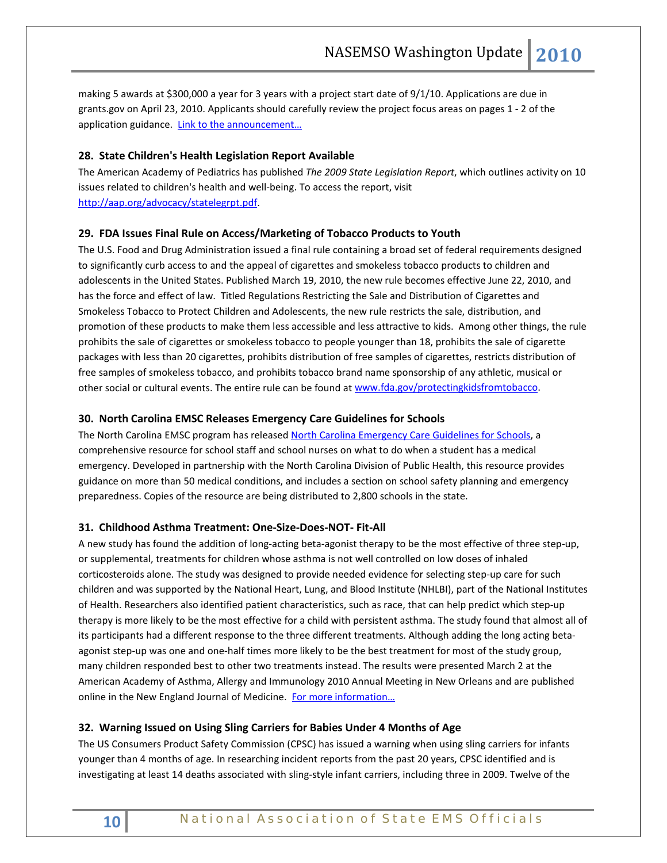making 5 awards at \$300,000 a year for 3 years with a project start date of 9/1/10. Applications are due in grants.gov on April 23, 2010. Applicants should carefully review the project focus areas on pages 1 - 2 of the application guidance. Link to the announcement...

## **28. State Children's Health Legislation Report Available**

The American Academy of Pediatrics has published *The 2009 State Legislation Report*, which outlines activity on 10 issues related to children's health and well-being. To access the report, visit [http://aap.org/advocacy/statelegrpt.pdf.](http://aap.org/advocacy/statelegrpt.pdf) 

## **29. FDA Issues Final Rule on Access/Marketing of Tobacco Products to Youth**

The U.S. Food and Drug Administration issued a final rule containing a broad set of federal requirements designed to significantly curb access to and the appeal of cigarettes and smokeless tobacco products to children and adolescents in the United States. Published March 19, 2010, the new rule becomes effective June 22, 2010, and has the force and effect of law. Titled Regulations Restricting the Sale and Distribution of Cigarettes and Smokeless Tobacco to Protect Children and Adolescents, the new rule restricts the sale, distribution, and promotion of these products to make them less accessible and less attractive to kids. Among other things, the rule prohibits the sale of cigarettes or smokeless tobacco to people younger than 18, prohibits the sale of cigarette packages with less than 20 cigarettes, prohibits distribution of free samples of cigarettes, restricts distribution of free samples of smokeless tobacco, and prohibits tobacco brand name sponsorship of any athletic, musical or other social or cultural events. The entire rule can be found at www.fda.gov/protectingkidsfromtobacco.

## **30. North Carolina EMSC Releases Emergency Care Guidelines for Schools**

The North Carolina EMSC program has released [North Carolina Emergency Care Guidelines for Schools,](http://www.ncdhhs.gov/dhsr/EMS/pdf/kids/guidelines.pdf) a comprehensive resource for school staff and school nurses on what to do when a student has a medical emergency. Developed in partnership with the North Carolina Division of Public Health, this resource provides guidance on more than 50 medical conditions, and includes a section on school safety planning and emergency preparedness. Copies of the resource are being distributed to 2,800 schools in the state.

## **31. Childhood Asthma Treatment: One-Size-Does-NOT- Fit-All**

A new study has found the addition of long-acting beta-agonist therapy to be the most effective of three step-up, or supplemental, treatments for children whose asthma is not well controlled on low doses of inhaled corticosteroids alone. The study was designed to provide needed evidence for selecting step-up care for such children and was supported by the National Heart, Lung, and Blood Institute (NHLBI), part of the National Institutes of Health. Researchers also identified patient characteristics, such as race, that can help predict which step-up therapy is more likely to be the most effective for a child with persistent asthma. The study found that almost all of its participants had a different response to the three different treatments. Although adding the long acting betaagonist step-up was one and one-half times more likely to be the best treatment for most of the study group, many children responded best to other two treatments instead. The results were presented March 2 at the American Academy of Asthma, Allergy and Immunology 2010 Annual Meeting in New Orleans and are published online in the New England Journal of Medicine. For more information...

## **32. Warning Issued on Using Sling Carriers for Babies Under 4 Months of Age**

The US Consumers Product Safety Commission (CPSC) has issued a warning when using sling carriers for infants younger than 4 months of age. In researching incident reports from the past 20 years, CPSC identified and is investigating at least 14 deaths associated with sling-style infant carriers, including three in 2009. Twelve of the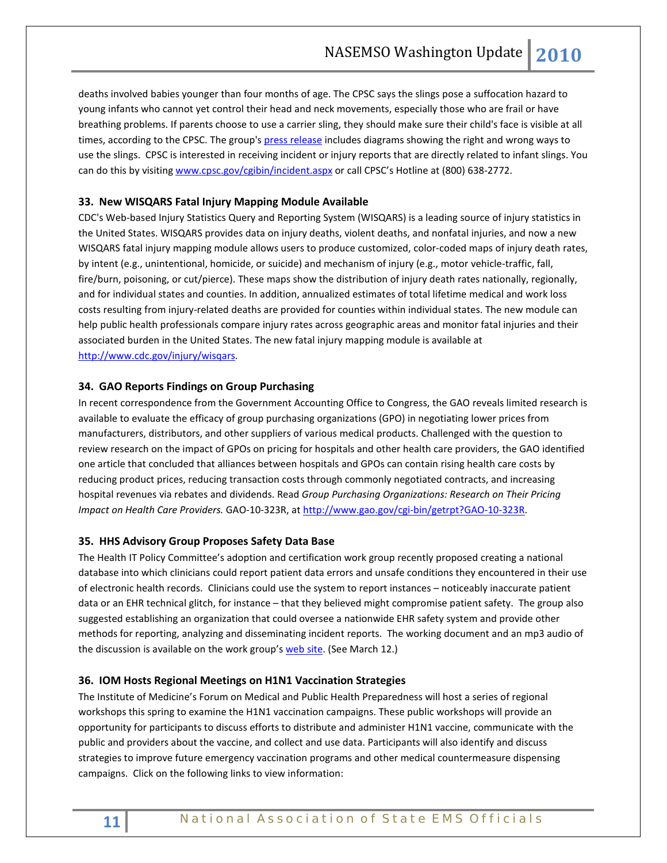deaths involved babies younger than four months of age. The CPSC says the slings pose a suffocation hazard to young infants who cannot yet control their head and neck movements, especially those who are frail or have breathing problems. If parents choose to use a carrier sling, they should make sure their child's face is visible at all times, according to the CPSC. The group'[s press release](http://www.cpsc.gov/cpscpub/prerel/prhtml10/10165.html) includes diagrams showing the right and wrong ways to use the slings. CPSC is interested in receiving incident or injury reports that are directly related to infant slings. You can do this by visitin[g www.cpsc.gov/cgibin/incident.aspx](https://www.cpsc.gov/cgibin/incident.aspx) or call CPSC's Hotline at (800) 638-2772.

## **33. New WISQARS Fatal Injury Mapping Module Available**

CDC's Web-based Injury Statistics Query and Reporting System (WISQARS) is a leading source of injury statistics in the United States. WISQARS provides data on injury deaths, violent deaths, and nonfatal injuries, and now a new WISQARS fatal injury mapping module allows users to produce customized, color-coded maps of injury death rates, by intent (e.g., unintentional, homicide, or suicide) and mechanism of injury (e.g., motor vehicle-traffic, fall, fire/burn, poisoning, or cut/pierce). These maps show the distribution of injury death rates nationally, regionally, and for individual states and counties. In addition, annualized estimates of total lifetime medical and work loss costs resulting from injury-related deaths are provided for counties within individual states. The new module can help public health professionals compare injury rates across geographic areas and monitor fatal injuries and their associated burden in the United States. The new fatal injury mapping module is available at [http://www.cdc.gov/injury/wisqars.](http://www.cdc.gov/injury/wisqars)

## **34. GAO Reports Findings on Group Purchasing**

In recent correspondence from the Government Accounting Office to Congress, the GAO reveals limited research is available to evaluate the efficacy of group purchasing organizations (GPO) in negotiating lower prices from manufacturers, distributors, and other suppliers of various medical products. Challenged with the question to review research on the impact of GPOs on pricing for hospitals and other health care providers, the GAO identified one article that concluded that alliances between hospitals and GPOs can contain rising health care costs by reducing product prices, reducing transaction costs through commonly negotiated contracts, and increasing hospital revenues via rebates and dividends. Read *Group Purchasing Organizations: Research on Their Pricing Impact on Health Care Providers.* GAO-10-323R, at [http://www.gao.gov/cgi-bin/getrpt?GAO-10-323R.](http://www.gao.gov/cgi-bin/getrpt?GAO-10-323R)

## **35. HHS Advisory Group Proposes Safety Data Base**

The Health IT Policy Committee's adoption and certification work group recently proposed creating a national database into which clinicians could report patient data errors and unsafe conditions they encountered in their use of electronic health records. Clinicians could use the system to report instances – noticeably inaccurate patient data or an EHR technical glitch, for instance – that they believed might compromise patient safety. The group also suggested establishing an organization that could oversee a nationwide EHR safety system and provide other methods for reporting, analyzing and disseminating incident reports. The working document and an mp3 audio of the discussion is available on the work group'[s web site.](http://healthit.hhs.gov/portal/server.pt?open=512&objID=1473&&PageID=17117&mode=2&in_hi_userid=11673&cached=true) (See March 12.)

## **36. IOM Hosts Regional Meetings on H1N1 Vaccination Strategies**

The Institute of Medicine's Forum on Medical and Public Health Preparedness will host a series of regional workshops this spring to examine the H1N1 vaccination campaigns. These public workshops will provide an opportunity for participants to discuss efforts to distribute and administer H1N1 vaccine, communicate with the public and providers about the vaccine, and collect and use data. Participants will also identify and discuss strategies to improve future emergency vaccination programs and other medical countermeasure dispensing campaigns. Click on the following links to view information: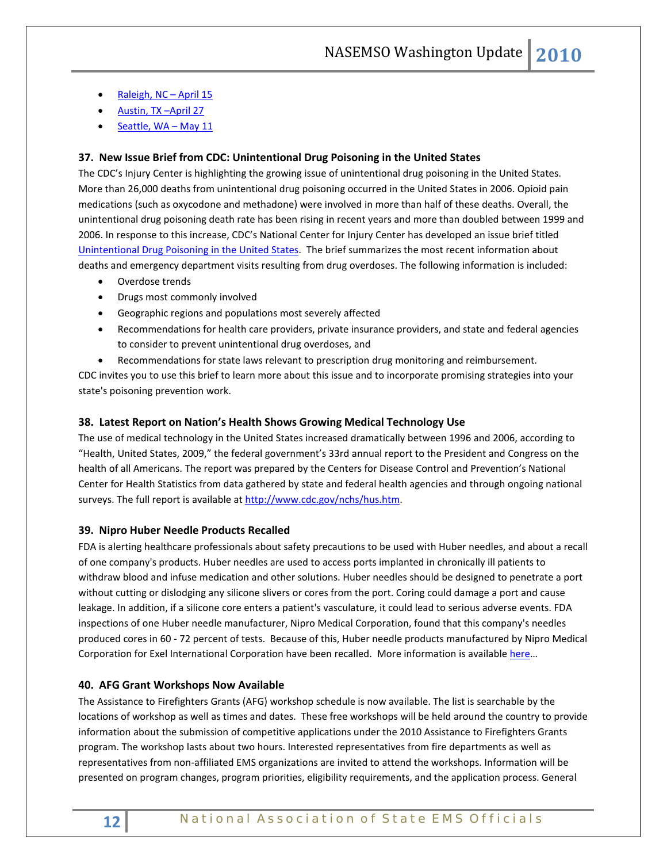- [Raleigh, NC –](http://www.iom.edu/Activities/PublicHealth/MedPrep/2010-APR-15.aspx) April 15
- Austin, TX-April 27
- [Seattle, WA –](http://www.iom.edu/Activities/PublicHealth/MedPrep/2010-MAY-11.aspx) May 11

## **37. New Issue Brief from CDC: Unintentional Drug Poisoning in the United States**

The CDC's Injury Center is highlighting the growing issue of unintentional drug poisoning in the United States. More than 26,000 deaths from unintentional drug poisoning occurred in the United States in 2006. Opioid pain medications (such as oxycodone and methadone) were involved in more than half of these deaths. Overall, the unintentional drug poisoning death rate has been rising in recent years and more than doubled between 1999 and 2006. In response to this increase, CDC's National Center for Injury Center has developed an issue brief titled [Unintentional Drug Poisoning in the United States.](http://links.govdelivery.com/track?type=click&enid=bWFpbGluZ2lkPTc1NzIwMyZtZXNzYWdlaWQ9UFJELUJVTC03NTcyMDMmZGF0YWJhc2VpZD0xMDAxJnNlcmlhbD0xMjE1NzIyMzU3JmVtYWlsaWQ9cm9iaW5zb25AbmFzZW1zby5vcmcmdXNlcmlkPXJvYmluc29uQG5hc2Vtc28ub3JnJmV4dHJhPSYmJg==&&&102&&&http://links.govdelivery.com/track?type=click&enid=bWFpbGluZ2lkPTc1MjYyMSZtZXNzYWdlaWQ9UFJELUJVTC03NTI2MjEmZGF0YWJhc2VpZD0xMDAxJnNlcmlhbD0xMjE1NzE4MzAwJmVtYWlsaWQ9c3NjaG1pdEBjZGMuZ292JnVzZXJpZD1zc2NobWl0QGNkYy5nb3YmZXh0cmE9JiYm&&&101&&&http://www.cdc.gov/HomeandRecreationalSafety/Poisoning/brief.htm) The brief summarizes the most recent information about deaths and emergency department visits resulting from drug overdoses. The following information is included:

- Overdose trends
- Drugs most commonly involved
- Geographic regions and populations most severely affected
- Recommendations for health care providers, private insurance providers, and state and federal agencies to consider to prevent unintentional drug overdoses, and
- Recommendations for state laws relevant to prescription drug monitoring and reimbursement.

CDC invites you to use this brief to learn more about this issue and to incorporate promising strategies into your state's poisoning prevention work.

#### **38. Latest Report on Nation's Health Shows Growing Medical Technology Use**

The use of medical technology in the United States increased dramatically between 1996 and 2006, according to "Health, United States, 2009," the federal government's 33rd annual report to the President and Congress on the health of all Americans. The report was prepared by the Centers for Disease Control and Prevention's National Center for Health Statistics from data gathered by state and federal health agencies and through ongoing national surveys. The full report is available at [http://www.cdc.gov/nchs/hus.htm.](http://www.cdc.gov/nchs/hus.htm)

## **39. Nipro Huber Needle Products Recalled**

FDA is alerting healthcare professionals about safety precautions to be used with Huber needles, and about a recall of one company's products. Huber needles are used to access ports implanted in chronically ill patients to withdraw blood and infuse medication and other solutions. Huber needles should be designed to penetrate a port without cutting or dislodging any silicone slivers or cores from the port. Coring could damage a port and cause leakage. In addition, if a silicone core enters a patient's vasculature, it could lead to serious adverse events. FDA inspections of one Huber needle manufacturer, Nipro Medical Corporation, found that this company's needles produced cores in 60 - 72 percent of tests. Because of this, Huber needle products manufactured by Nipro Medical Corporation for Exel International Corporation have been recalled. More information is available [here…](http://www.fda.gov/Safety/MedWatch/SafetyInformation/SafetyAlertsforHumanMedicalProducts/ucm198728.htm)

## **40. AFG Grant Workshops Now Available**

The Assistance to Firefighters Grants (AFG) workshop schedule is now available. The list is searchable by the locations of workshop as well as times and dates. These free workshops will be held around the country to provide information about the submission of competitive applications under the 2010 Assistance to Firefighters Grants program. The workshop lasts about two hours. Interested representatives from fire departments as well as representatives from non-affiliated EMS organizations are invited to attend the workshops. Information will be presented on program changes, program priorities, eligibility requirements, and the application process. General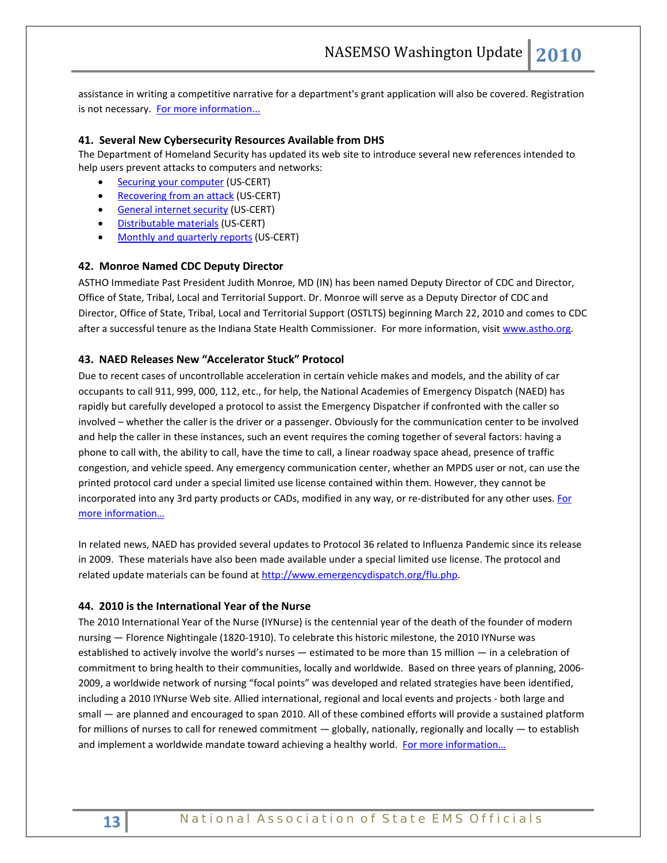assistance in writing a competitive narrative for a department's grant application will also be covered. Registration is not necessary. [For more information...](http://firegrantsupport.com/content/html/afg/Workshops/Workshops.aspx.)

#### **41. Several New Cybersecurity Resources Available from DHS**

The Department of Homeland Security has updated its web site to introduce several new references intended to help users prevent attacks to computers and networks:

- **[Securing your computer](http://links.govdelivery.com/track?type=click&enid=bWFpbGluZ2lkPTczODQyNiZtZXNzYWdlaWQ9UFJELUJVTC03Mzg0MjYmZGF0YWJhc2VpZD0xMDAxJnNlcmlhbD0xMjE1NzA1NDQ3JmVtYWlsaWQ9cm9iaW5zb25AbmFzZW1zby5vcmcmdXNlcmlkPXJvYmluc29uQG5hc2Vtc28ub3JnJmV4dHJhPSYmJg==&&&101&&&http://www.dhs.gov/files/publications/counterterrorism.shtm#secure) (US-CERT)**
- [Recovering from an attack](http://links.govdelivery.com/track?type=click&enid=bWFpbGluZ2lkPTczODQyNiZtZXNzYWdlaWQ9UFJELUJVTC03Mzg0MjYmZGF0YWJhc2VpZD0xMDAxJnNlcmlhbD0xMjE1NzA1NDQ3JmVtYWlsaWQ9cm9iaW5zb25AbmFzZW1zby5vcmcmdXNlcmlkPXJvYmluc29uQG5hc2Vtc28ub3JnJmV4dHJhPSYmJg==&&&102&&&http://www.dhs.gov/files/publications/counterterrorism.shtm#recover) (US-CERT)
- [General internet security](http://links.govdelivery.com/track?type=click&enid=bWFpbGluZ2lkPTczODQyNiZtZXNzYWdlaWQ9UFJELUJVTC03Mzg0MjYmZGF0YWJhc2VpZD0xMDAxJnNlcmlhbD0xMjE1NzA1NDQ3JmVtYWlsaWQ9cm9iaW5zb25AbmFzZW1zby5vcmcmdXNlcmlkPXJvYmluc29uQG5hc2Vtc28ub3JnJmV4dHJhPSYmJg==&&&103&&&http://www.dhs.gov/files/publications/counterterrorism.shtm#general) (US-CERT)
- [Distributable materials](http://links.govdelivery.com/track?type=click&enid=bWFpbGluZ2lkPTczODQyNiZtZXNzYWdlaWQ9UFJELUJVTC03Mzg0MjYmZGF0YWJhc2VpZD0xMDAxJnNlcmlhbD0xMjE1NzA1NDQ3JmVtYWlsaWQ9cm9iaW5zb25AbmFzZW1zby5vcmcmdXNlcmlkPXJvYmluc29uQG5hc2Vtc28ub3JnJmV4dHJhPSYmJg==&&&104&&&http://www.dhs.gov/files/publications/counterterrorism.shtm#distribute) (US-CERT)
- [Monthly and quarterly reports](http://links.govdelivery.com/track?type=click&enid=bWFpbGluZ2lkPTczODQyNiZtZXNzYWdlaWQ9UFJELUJVTC03Mzg0MjYmZGF0YWJhc2VpZD0xMDAxJnNlcmlhbD0xMjE1NzA1NDQ3JmVtYWlsaWQ9cm9iaW5zb25AbmFzZW1zby5vcmcmdXNlcmlkPXJvYmluc29uQG5hc2Vtc28ub3JnJmV4dHJhPSYmJg==&&&105&&&http://www.dhs.gov/files/publications/counterterrorism.shtm#news) (US-CERT)

#### **42. Monroe Named CDC Deputy Director**

ASTHO Immediate Past President Judith Monroe, MD (IN) has been named Deputy Director of CDC and Director, Office of State, Tribal, Local and Territorial Support. Dr. Monroe will serve as a Deputy Director of CDC and Director, Office of State, Tribal, Local and Territorial Support (OSTLTS) beginning March 22, 2010 and comes to CDC after a successful tenure as the Indiana State Health Commissioner. For more information, visit www.astho.org.

## **43. NAED Releases New "Accelerator Stuck" Protocol**

Due to recent cases of uncontrollable acceleration in certain vehicle makes and models, and the ability of car occupants to call 911, 999, 000, 112, etc., for help, the National Academies of Emergency Dispatch (NAED) has rapidly but carefully developed a protocol to assist the Emergency Dispatcher if confronted with the caller so involved – whether the caller is the driver or a passenger. Obviously for the communication center to be involved and help the caller in these instances, such an event requires the coming together of several factors: having a phone to call with, the ability to call, have the time to call, a linear roadway space ahead, presence of traffic congestion, and vehicle speed. Any emergency communication center, whether an MPDS user or not, can use the printed protocol card under a special limited use license contained within them. However, they cannot be incorporated into any 3rd party products or CADs, modified in any way, or re-distributed for any other uses. For [more information…](http://www.emergencydispatch.org/vehicle_accelerator_stuck.php)

In related news, NAED has provided several updates to Protocol 36 related to Influenza Pandemic since its release in 2009. These materials have also been made available under a special limited use license. The protocol and related update materials can be found a[t http://www.emergencydispatch.org/flu.php.](http://www.emergencydispatch.org/flu.php)

#### **44. 2010 is the International Year of the Nurse**

The 2010 International Year of the Nurse (IYNurse) is the centennial year of the death of the founder of modern nursing — Florence Nightingale (1820-1910). To celebrate this historic milestone, the 2010 IYNurse was established to actively involve the world's nurses — estimated to be more than 15 million — in a celebration of commitment to bring health to their communities, locally and worldwide. Based on three years of planning, 2006- 2009, a worldwide network of nursing "focal points" was developed and related strategies have been identified, including a 2010 IYNurse Web site. Allied international, regional and local events and projects - both large and small — are planned and encouraged to span 2010. All of these combined efforts will provide a sustained platform for millions of nurses to call for renewed commitment  $-$  globally, nationally, regionally and locally  $-$  to establish and implement a worldwide mandate toward achieving a healthy world. For more information...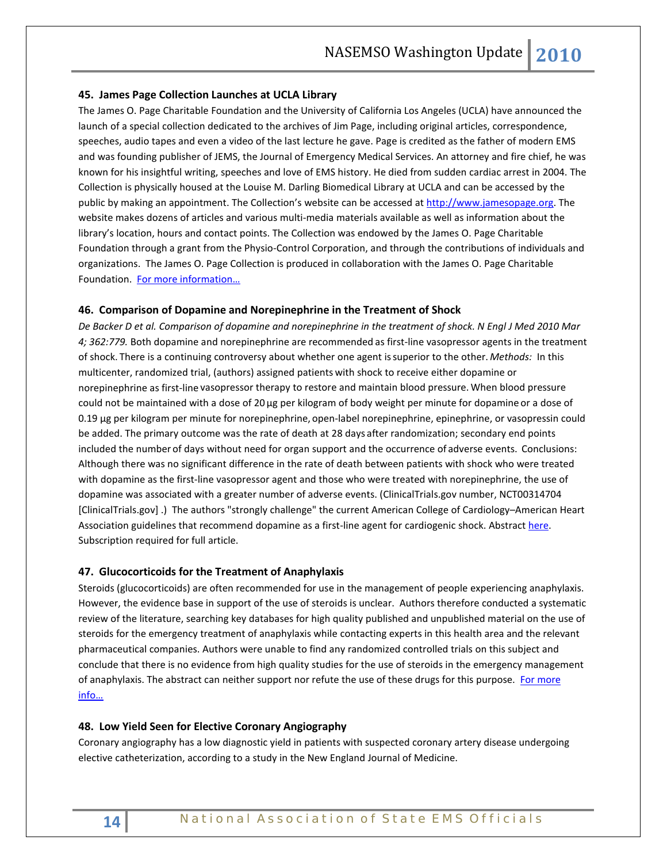#### **45. James Page Collection Launches at UCLA Library**

The James O. Page Charitable Foundation and the University of California Los Angeles (UCLA) have announced the launch of a special collection dedicated to the archives of Jim Page, including original articles, correspondence, speeches, audio tapes and even a video of the last lecture he gave. Page is credited as the father of modern EMS and was founding publisher of JEMS, the Journal of Emergency Medical Services. An attorney and fire chief, he was known for his insightful writing, speeches and love of EMS history. He died from sudden cardiac arrest in 2004. The Collection is physically housed at the Louise M. Darling Biomedical Library at UCLA and can be accessed by the public by making an appointment. The Collection's website can be accessed a[t http://www.jamesopage.org.](http://www.jamesopage.org/) The website makes dozens of articles and various multi-media materials available as well as information about the library's location, hours and contact points. The Collection was endowed by the James O. Page Charitable Foundation through a grant from the Physio-Control Corporation, and through the contributions of individuals and organizations. The James O. Page Collection is produced in collaboration with the James O. Page Charitable Foundation. [For more information…](http://www.jopcollection.info/)

#### **46. Comparison of Dopamine and Norepinephrine in the Treatment of Shock**

*De Backer D et al. Comparison of dopamine and norepinephrine in the treatment of shock. N Engl J Med 2010 Mar 4; 362:779.* Both dopamine and norepinephrine are recommended as first-line vasopressor agents in the treatment of shock. There is a continuing controversy about whether one agent issuperior to the other. *Methods:* In this multicenter, randomized trial, (authors) assigned patients with shock to receive either dopamine or norepinephrine as first-line vasopressor therapy to restore and maintain blood pressure. When blood pressure could not be maintained with a dose of 20 µg per kilogram of body weight per minute for dopamine or a dose of 0.19 µg per kilogram per minute for norepinephrine, open-label norepinephrine, epinephrine, or vasopressin could be added. The primary outcome was the rate of death at 28 days after randomization; secondary end points included the number of days without need for organ support and the occurrence of adverse events. Conclusions: Although there was no significant difference in the rate of death between patients with shock who were treated with dopamine as the first-line vasopressor agent and those who were treated with norepinephrine, the use of dopamine was associated with a greater number of adverse events. (ClinicalTrials.gov number, NCT00314704 [ClinicalTrials.gov] .) The authors "strongly challenge" the current American College of Cardiology–American Heart Association guidelines that recommend dopamine as a first-line agent for cardiogenic shock. Abstract [here.](http://content.nejm.org/cgi/content/short/362/9/779) Subscription required for full article.

#### **47. Glucocorticoids for the Treatment of Anaphylaxis**

Steroids (glucocorticoids) are often recommended for use in the management of people experiencing anaphylaxis. However, the evidence base in support of the use of steroids is unclear. Authors therefore conducted a systematic review of the literature, searching key databases for high quality published and unpublished material on the use of steroids for the emergency treatment of anaphylaxis while contacting experts in this health area and the relevant pharmaceutical companies. Authors were unable to find any randomized controlled trials on this subject and conclude that there is no evidence from high quality studies for the use of steroids in the emergency management of anaphylaxis. The abstract can neither support nor refute the use of these drugs for this purpose. For more [info…](http://www2.cochrane.org/reviews/en/ab007596.html)

### **48. Low Yield Seen for Elective Coronary Angiography**

Coronary angiography has a low diagnostic yield in patients with suspected coronary artery disease undergoing elective catheterization, according to a study in the New England Journal of Medicine.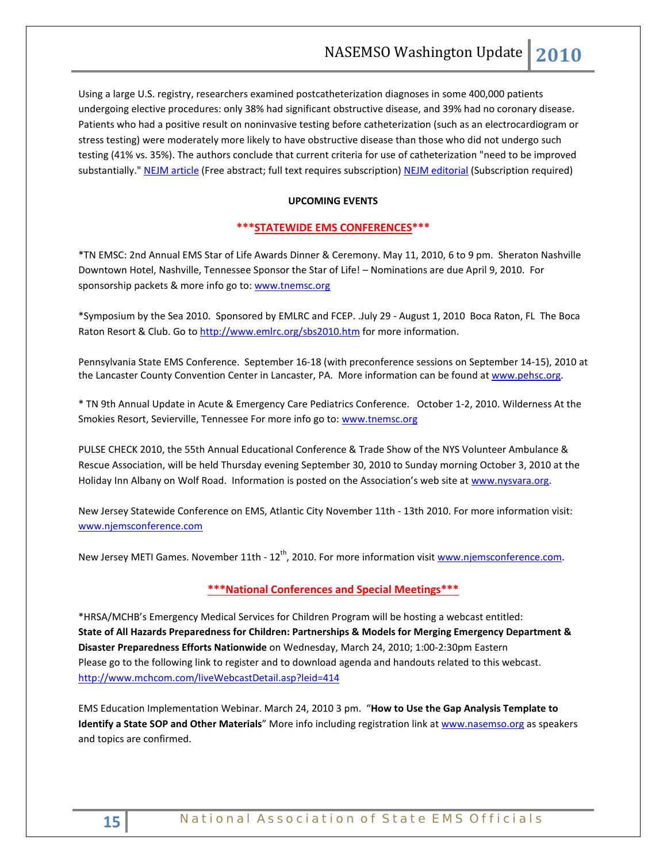Using a large U.S. registry, researchers examined postcatheterization diagnoses in some 400,000 patients undergoing elective procedures: only 38% had significant obstructive disease, and 39% had no coronary disease. Patients who had a positive result on noninvasive testing before catheterization (such as an electrocardiogram or stress testing) were moderately more likely to have obstructive disease than those who did not undergo such testing (41% vs. 35%). The authors conclude that current criteria for use of catheterization "need to be improved substantially." [NEJM article](http://content.nejm.org/cgi/content/short/362/10/886) (Free abstract; full text requires subscription) [NEJM editorial](http://content.nejm.org/cgi/content/short/362/10/943) (Subscription required)

#### **UPCOMING EVENTS**

### **\*\*\*STATEWIDE EMS CONFERENCES\*\*\***

\*TN EMSC: 2nd Annual EMS Star of Life Awards Dinner & Ceremony. May 11, 2010, 6 to 9 pm. Sheraton Nashville Downtown Hotel, Nashville, Tennessee Sponsor the Star of Life! – Nominations are due April 9, 2010. For sponsorship packets & more info go to[: www.tnemsc.org](http://www.tnemsc.org/)

\*Symposium by the Sea 2010. Sponsored by EMLRC and FCEP. .July 29 - August 1, 2010 Boca Raton, FL The Boca Raton Resort & Club. Go to<http://www.emlrc.org/sbs2010.htm> for more information.

Pennsylvania State EMS Conference. September 16-18 (with preconference sessions on September 14-15), 2010 at the Lancaster County Convention Center in Lancaster, PA. More information can be found a[t www.pehsc.org.](http://www.pehsc.org/)

\* TN 9th Annual Update in Acute & Emergency Care Pediatrics Conference. October 1-2, 2010. Wilderness At the Smokies Resort, Sevierville, Tennessee For more info go to: [www.tnemsc.org](http://www.tnemsc.org/)

PULSE CHECK 2010, the 55th Annual Educational Conference & Trade Show of the NYS Volunteer Ambulance & Rescue Association, will be held Thursday evening September 30, 2010 to Sunday morning October 3, 2010 at the Holiday Inn Albany on Wolf Road. Information is posted on the Association's web site at [www.nysvara.org.](http://www.nysvara.org/)

New Jersey Statewide Conference on EMS, Atlantic City November 11th - 13th 2010. For more information visit: [www.njemsconference.com](http://www.njemsconference.com/)

New Jersey METI Games. November 11th - 12<sup>th</sup>, 2010. For more information visit [www.njemsconference.com.](http://www.njemsconference.com/)

## **\*\*\*National Conferences and Special Meetings\*\*\***

\*HRSA/MCHB's Emergency Medical Services for Children Program will be hosting a webcast entitled: **State of All Hazards Preparedness for Children: Partnerships & Models for Merging Emergency Department & Disaster Preparedness Efforts Nationwide** on Wednesday, March 24, 2010; 1:00-2:30pm Eastern Please go to the following link to register and to download agenda and handouts related to this webcast. <http://www.mchcom.com/liveWebcastDetail.asp?leid=414>

EMS Education Implementation Webinar. March 24, 2010 3 pm. "**How to Use the Gap Analysis Template to Identify a State SOP and Other Materials**" More info including registration link a[t www.nasemso.org](http://www.nasemso.org/) as speakers and topics are confirmed.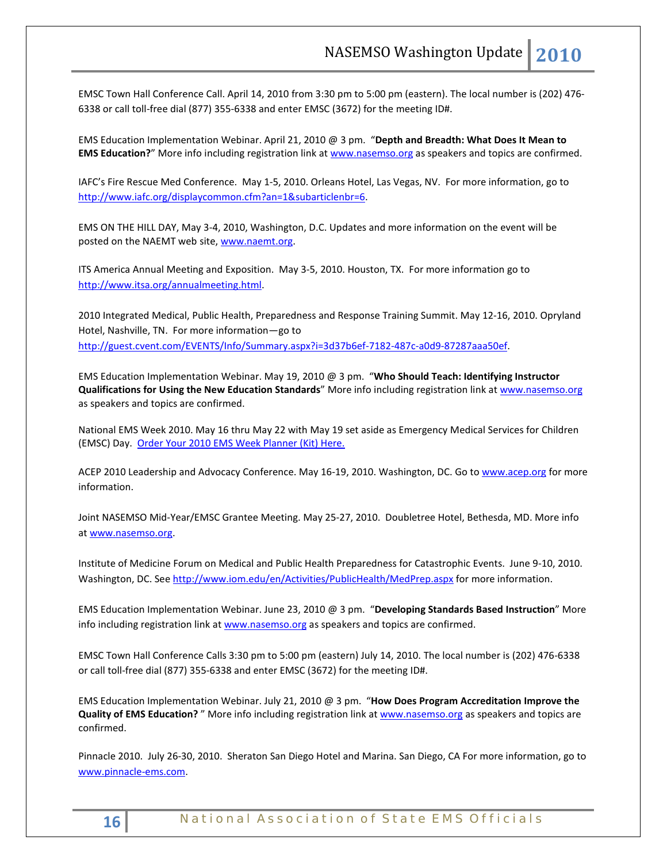EMSC Town Hall Conference Call. April 14, 2010 from 3:30 pm to 5:00 pm (eastern). The local number is (202) 476- 6338 or call toll-free dial (877) 355-6338 and enter EMSC (3672) for the meeting ID#.

EMS Education Implementation Webinar. April 21, 2010 @ 3 pm. "**Depth and Breadth: What Does It Mean to EMS Education?**" More info including registration link a[t www.nasemso.org](http://www.nasemso.org/) as speakers and topics are confirmed.

IAFC's Fire Rescue Med Conference. May 1-5, 2010. Orleans Hotel, Las Vegas, NV. For more information, go to [http://www.iafc.org/displaycommon.cfm?an=1&subarticlenbr=6.](http://www.iafc.org/displaycommon.cfm?an=1&subarticlenbr=6) 

EMS ON THE HILL DAY, May 3-4, 2010, Washington, D.C. Updates and more information on the event will be posted on the NAEMT web site, [www.naemt.org.](http://www.naemt.org/)

ITS America Annual Meeting and Exposition. May 3-5, 2010. Houston, TX. For more information go to [http://www.itsa.org/annualmeeting.html.](http://www.itsa.org/annualmeeting.html) 

2010 Integrated Medical, Public Health, Preparedness and Response Training Summit. May 12-16, 2010. Opryland Hotel, Nashville, TN. For more information—go to [http://guest.cvent.com/EVENTS/Info/Summary.aspx?i=3d37b6ef-7182-487c-a0d9-87287aaa50ef.](http://guest.cvent.com/EVENTS/Info/Summary.aspx?i=3d37b6ef-7182-487c-a0d9-87287aaa50ef)

EMS Education Implementation Webinar. May 19, 2010 @ 3 pm. "**Who Should Teach: Identifying Instructor Qualifications for Using the New Education Standards**" More info including registration link at [www.nasemso.org](http://www.nasemso.org/) as speakers and topics are confirmed.

National EMS Week 2010. May 16 thru May 22 with May 19 set aside as Emergency Medical Services for Children (EMSC) Day. [Order Your 2010 EMS Week Planner \(Kit\) Here.](http://www.acep.org/WorkArea/linkit.aspx?LinkIdentifier=ekfrm&ItemID=43322)

ACEP 2010 Leadership and Advocacy Conference. May 16-19, 2010. Washington, DC. Go t[o www.acep.org](http://www.acep.org/) for more information.

Joint NASEMSO Mid-Year/EMSC Grantee Meeting. May 25-27, 2010. Doubletree Hotel, Bethesda, MD. More info a[t www.nasemso.org.](http://www.nasemso.org/) 

Institute of Medicine Forum on Medical and Public Health Preparedness for Catastrophic Events. June 9-10, 2010. Washington, DC. See<http://www.iom.edu/en/Activities/PublicHealth/MedPrep.aspx> for more information.

EMS Education Implementation Webinar. June 23, 2010 @ 3 pm. "**Developing Standards Based Instruction**" More info including registration link a[t www.nasemso.org](http://www.nasemso.org/) as speakers and topics are confirmed.

EMSC Town Hall Conference Calls 3:30 pm to 5:00 pm (eastern) July 14, 2010. The local number is (202) 476-6338 or call toll-free dial (877) 355-6338 and enter EMSC (3672) for the meeting ID#.

EMS Education Implementation Webinar. July 21, 2010 @ 3 pm. "**How Does Program Accreditation Improve the Quality of EMS Education?** " More info including registration link at [www.nasemso.org](http://www.nasemso.org/) as speakers and topics are confirmed.

Pinnacle 2010. July 26-30, 2010. Sheraton San Diego Hotel and Marina. San Diego, CA For more information, go to [www.pinnacle-ems.com.](http://www.pinnacle-ems.com/)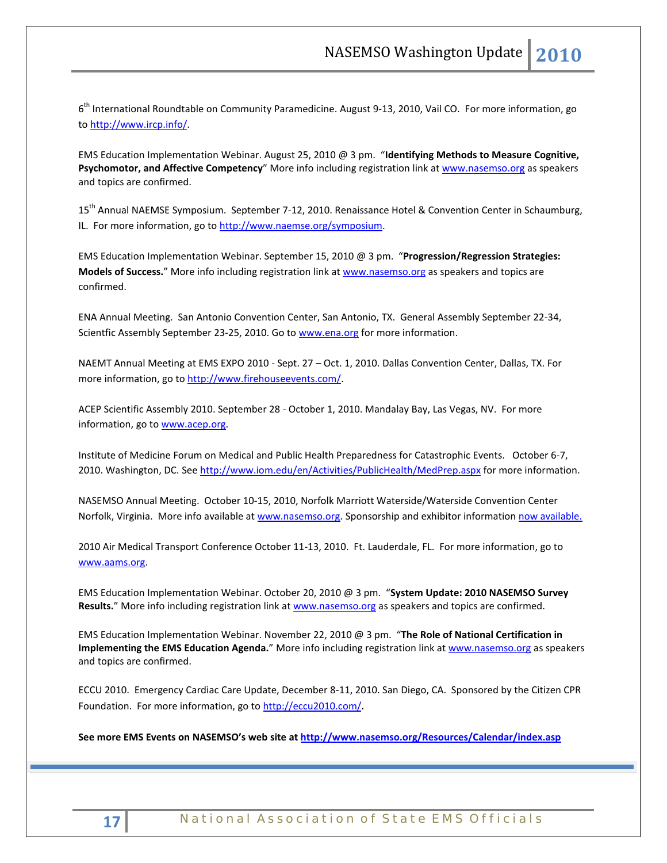6<sup>th</sup> International Roundtable on Community Paramedicine. August 9-13, 2010, Vail CO. For more information, go to [http://www.ircp.info/.](http://www.ircp.info/)

EMS Education Implementation Webinar. August 25, 2010 @ 3 pm. "**Identifying Methods to Measure Cognitive, Psychomotor, and Affective Competency**" More info including registration link at [www.nasemso.org](http://www.nasemso.org/) as speakers and topics are confirmed.

15<sup>th</sup> Annual NAEMSE Symposium. September 7-12, 2010. Renaissance Hotel & Convention Center in Schaumburg, IL. For more information, go t[o http://www.naemse.org/symposium.](http://www.naemse.org/symposium) 

EMS Education Implementation Webinar. September 15, 2010 @ 3 pm. "**Progression/Regression Strategies: Models of Success.**" More info including registration link at [www.nasemso.org](http://www.nasemso.org/) as speakers and topics are confirmed.

ENA Annual Meeting. San Antonio Convention Center, San Antonio, TX. General Assembly September 22-34, Scientfic Assembly September 23-25, 2010. Go to [www.ena.org](http://www.ena.org/) for more information.

NAEMT Annual Meeting at EMS EXPO 2010 - Sept. 27 – Oct. 1, 2010. Dallas Convention Center, Dallas, TX. For more information, go to [http://www.firehouseevents.com/.](http://www.firehouseevents.com/)

ACEP Scientific Assembly 2010. September 28 - October 1, 2010. Mandalay Bay, Las Vegas, NV. For more information, go to www.acep.org.

Institute of Medicine Forum on Medical and Public Health Preparedness for Catastrophic Events. October 6-7, 2010. Washington, DC. See<http://www.iom.edu/en/Activities/PublicHealth/MedPrep.aspx> for more information.

NASEMSO Annual Meeting. October 10-15, 2010, Norfolk Marriott Waterside/Waterside Convention Center Norfolk, Virginia. More info available at [www.nasemso.org.](http://www.nasemso.org/) Sponsorship and exhibitor information [now available.](http://www.nasemso.org/Meetings/Annual/NASEMSO2010Sponsors-Exhibitors.asp)

2010 Air Medical Transport Conference October 11-13, 2010. Ft. Lauderdale, FL. For more information, go to [www.aams.org.](http://www.aams.org/) 

EMS Education Implementation Webinar. October 20, 2010 @ 3 pm. "**System Update: 2010 NASEMSO Survey**  Results." More info including registration link at [www.nasemso.org](http://www.nasemso.org/) as speakers and topics are confirmed.

EMS Education Implementation Webinar. November 22, 2010 @ 3 pm. "**The Role of National Certification in Implementing the EMS Education Agenda.**" More info including registration link at [www.nasemso.org](http://www.nasemso.org/) as speakers and topics are confirmed.

ECCU 2010. Emergency Cardiac Care Update, December 8-11, 2010. San Diego, CA. Sponsored by the Citizen CPR Foundation. For more information, go t[o http://eccu2010.com/.](http://eccu2010.com/)

**See more EMS Events on NASEMSO's web site at<http://www.nasemso.org/Resources/Calendar/index.asp>**